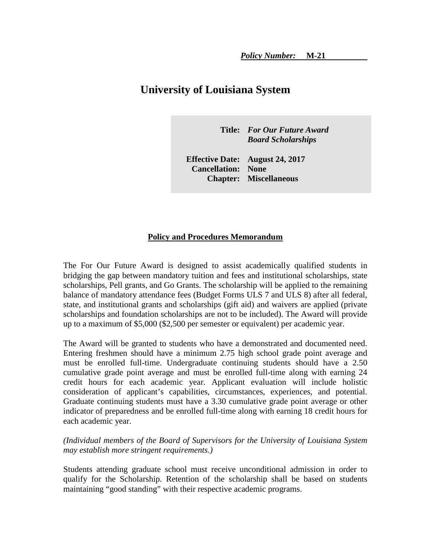# **University of Louisiana System**

**Title:** *For Our Future Award Board Scholarships*

**Effective Date: August 24, 2017 Cancellation: None Chapter: Miscellaneous** 

#### **Policy and Procedures Memorandum**

The For Our Future Award is designed to assist academically qualified students in bridging the gap between mandatory tuition and fees and institutional scholarships, state scholarships, Pell grants, and Go Grants. The scholarship will be applied to the remaining balance of mandatory attendance fees (Budget Forms ULS 7 and ULS 8) after all federal, state, and institutional grants and scholarships (gift aid) and waivers are applied (private scholarships and foundation scholarships are not to be included). The Award will provide up to a maximum of \$5,000 (\$2,500 per semester or equivalent) per academic year.

The Award will be granted to students who have a demonstrated and documented need. Entering freshmen should have a minimum 2.75 high school grade point average and must be enrolled full-time. Undergraduate continuing students should have a 2.50 cumulative grade point average and must be enrolled full-time along with earning 24 credit hours for each academic year. Applicant evaluation will include holistic consideration of applicant's capabilities, circumstances, experiences, and potential. Graduate continuing students must have a 3.30 cumulative grade point average or other indicator of preparedness and be enrolled full-time along with earning 18 credit hours for each academic year.

### *(Individual members of the Board of Supervisors for the University of Louisiana System may establish more stringent requirements.)*

Students attending graduate school must receive unconditional admission in order to qualify for the Scholarship. Retention of the scholarship shall be based on students maintaining "good standing" with their respective academic programs.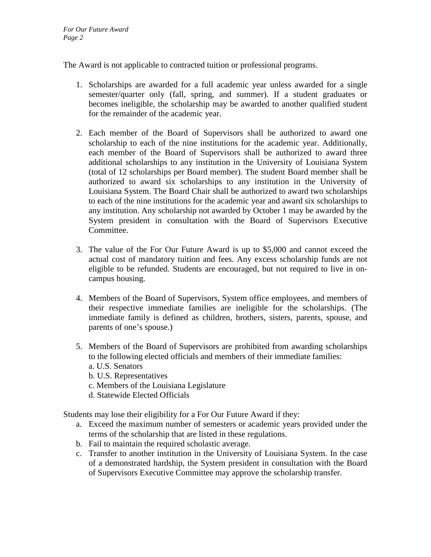The Award is not applicable to contracted tuition or professional programs.

- 1. Scholarships are awarded for a full academic year unless awarded for a single semester/quarter only (fall, spring, and summer). If a student graduates or becomes ineligible, the scholarship may be awarded to another qualified student for the remainder of the academic year.
- 2. Each member of the Board of Supervisors shall be authorized to award one scholarship to each of the nine institutions for the academic year. Additionally, each member of the Board of Supervisors shall be authorized to award three additional scholarships to any institution in the University of Louisiana System (total of 12 scholarships per Board member). The student Board member shall be authorized to award six scholarships to any institution in the University of Louisiana System. The Board Chair shall be authorized to award two scholarships to each of the nine institutions for the academic year and award six scholarships to any institution. Any scholarship not awarded by October 1 may be awarded by the System president in consultation with the Board of Supervisors Executive Committee.
- 3. The value of the For Our Future Award is up to \$5,000 and cannot exceed the actual cost of mandatory tuition and fees. Any excess scholarship funds are not eligible to be refunded. Students are encouraged, but not required to live in oncampus housing.
- 4. Members of the Board of Supervisors, System office employees, and members of their respective immediate families are ineligible for the scholarships. (The immediate family is defined as children, brothers, sisters, parents, spouse, and parents of one's spouse.)
- 5. Members of the Board of Supervisors are prohibited from awarding scholarships to the following elected officials and members of their immediate families: a. U.S. Senators
	- b. U.S. Representatives
	- c. Members of the Louisiana Legislature
	- d. Statewide Elected Officials

Students may lose their eligibility for a For Our Future Award if they:

- a. Exceed the maximum number of semesters or academic years provided under the terms of the scholarship that are listed in these regulations.
- b. Fail to maintain the required scholastic average.
- c. Transfer to another institution in the University of Louisiana System. In the case of a demonstrated hardship, the System president in consultation with the Board of Supervisors Executive Committee may approve the scholarship transfer.